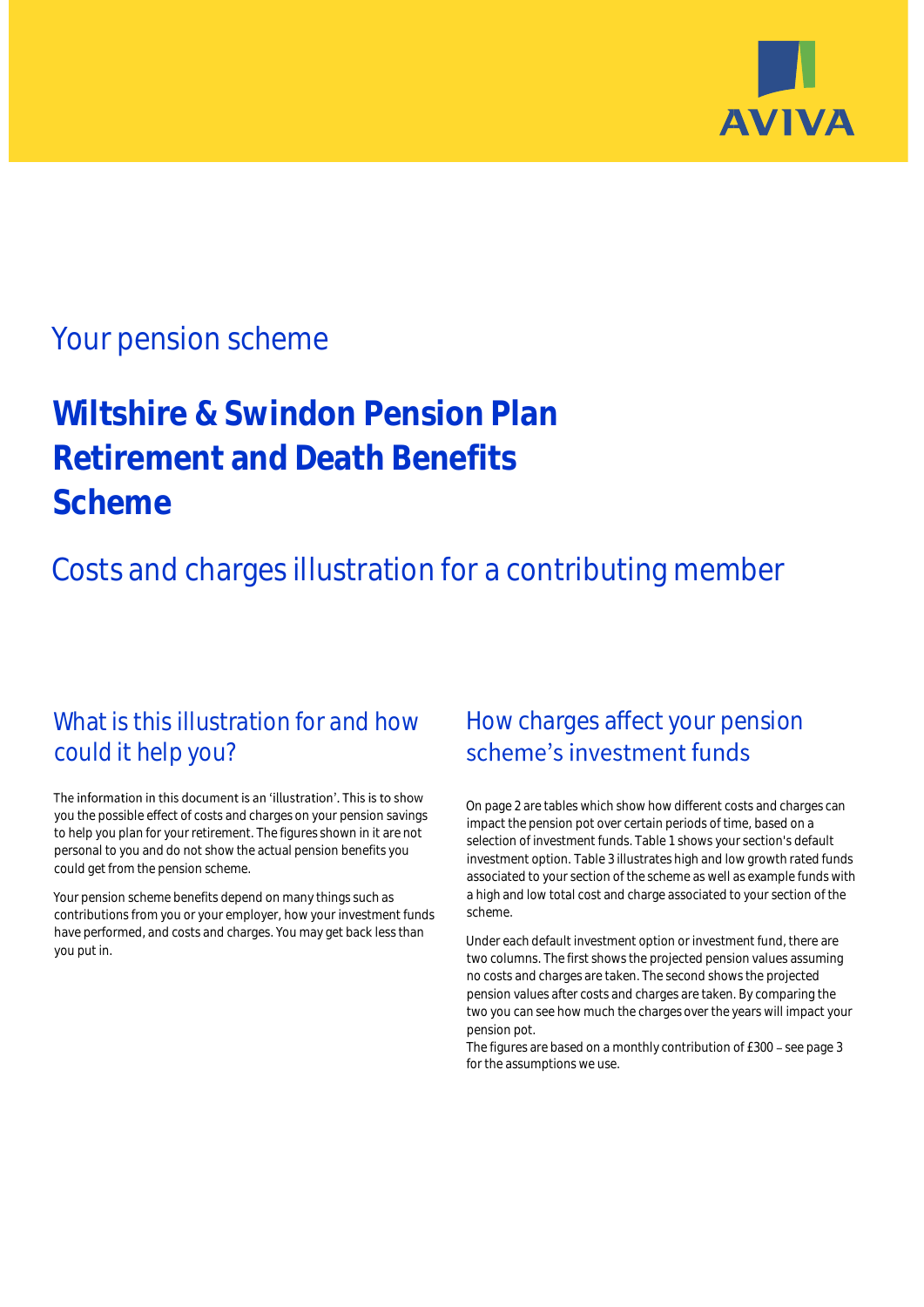

## Your pension scheme

# **Wiltshire & Swindon Pension Plan Retirement and Death Benefits Scheme**

Costs and charges illustration for a contributing member

## What is this illustration for and how could it help you?

#### The information in this document is an 'illustration'. This is to show you the possible effect of costs and charges on your pension savings to help you plan for your retirement. The figures shown in it are not personal to you and do not show the actual pension benefits you could get from the pension scheme.

Your pension scheme benefits depend on many things such as contributions from you or your employer, how your investment funds have performed, and costs and charges. You may get back less than you put in.

## How charges affect your pension scheme's investment funds

On page 2 are tables which show how different costs and charges can impact the pension pot over certain periods of time, based on a selection of investment funds. Table 1 shows your section's default investment option. Table 3 illustrates high and low growth rated funds associated to your section of the scheme as well as example funds with a high and low total cost and charge associated to your section of the scheme.

Under each default investment option or investment fund, there are two columns. The first shows the projected pension values assuming no costs and charges are taken. The second shows the projected pension values after costs and charges are taken. By comparing the two you can see how much the charges over the years will impact your pension pot.

The figures are based on a monthly contribution of  $£300 -$  see page 3 for the assumptions we use.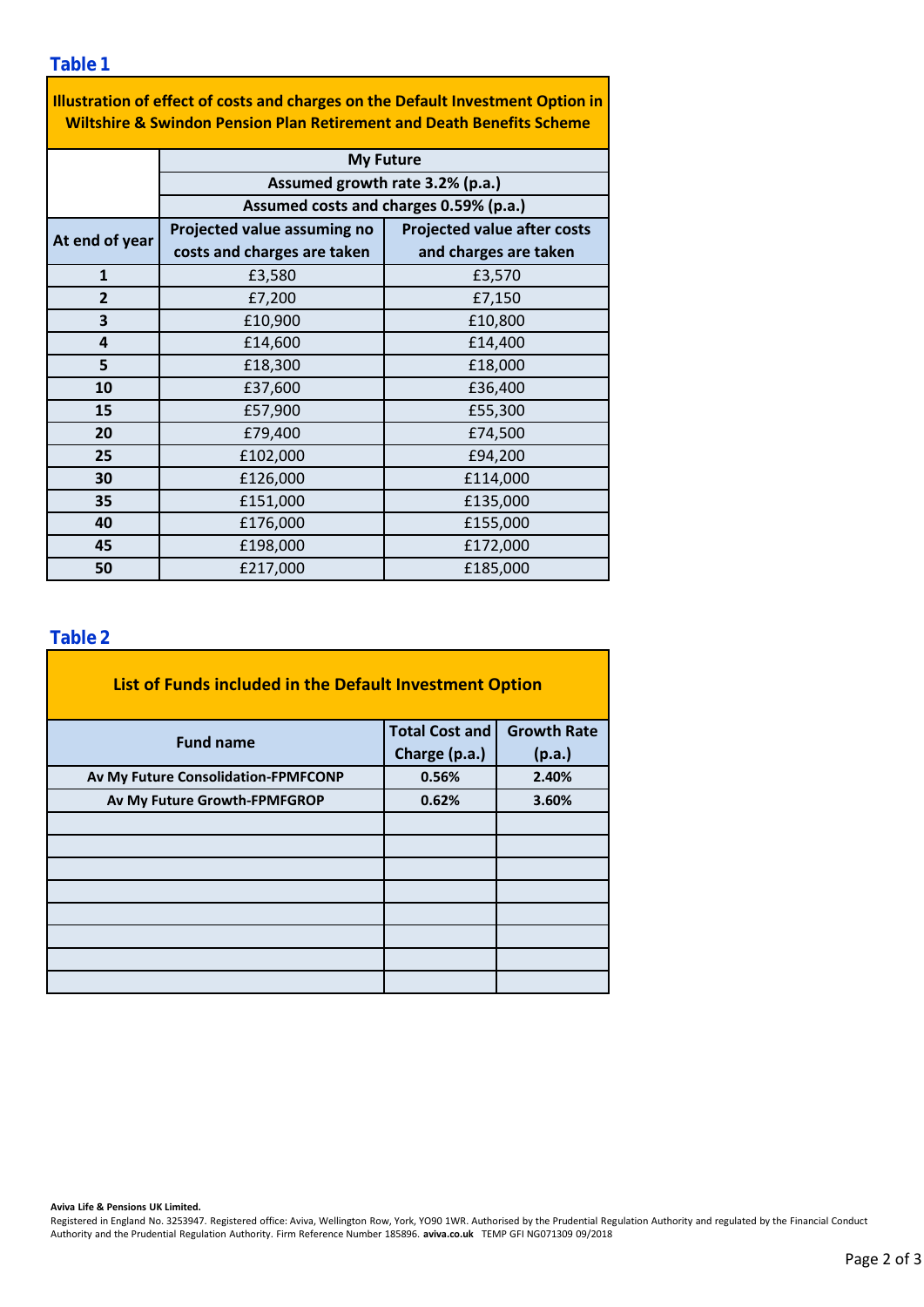**Table 1**

| Illustration of effect of costs and charges on the Default Investment Option in  |
|----------------------------------------------------------------------------------|
| <b>Wiltshire &amp; Swindon Pension Plan Retirement and Death Benefits Scheme</b> |

|                | <b>My Future</b>                       |                                    |  |  |  |
|----------------|----------------------------------------|------------------------------------|--|--|--|
|                | Assumed growth rate 3.2% (p.a.)        |                                    |  |  |  |
|                | Assumed costs and charges 0.59% (p.a.) |                                    |  |  |  |
|                | Projected value assuming no            | <b>Projected value after costs</b> |  |  |  |
| At end of year | costs and charges are taken            | and charges are taken              |  |  |  |
| $\mathbf{1}$   | £3,580                                 | £3,570                             |  |  |  |
| $\overline{2}$ | £7,200                                 | £7,150                             |  |  |  |
| 3              | £10,900                                | £10,800                            |  |  |  |
| 4              | £14,600                                | £14,400                            |  |  |  |
| 5              | £18,300                                | £18,000                            |  |  |  |
| 10             | £37,600                                | £36,400                            |  |  |  |
| 15             | £57,900                                | £55,300                            |  |  |  |
| 20             | £79,400                                | £74,500                            |  |  |  |
| 25             | £102,000                               | £94,200                            |  |  |  |
| 30             | £126,000                               | £114,000                           |  |  |  |
| 35             | £151,000                               | £135,000                           |  |  |  |
| 40             | £176,000                               | £155,000                           |  |  |  |
| 45             | £198,000                               | £172,000                           |  |  |  |
| 50             | £217,000<br>£185,000                   |                                    |  |  |  |

#### **Table 2**

| List of Funds included in the Default Investment Option |                       |                    |
|---------------------------------------------------------|-----------------------|--------------------|
| <b>Fund name</b>                                        | <b>Total Cost and</b> | <b>Growth Rate</b> |
|                                                         | Charge (p.a.)         | (p.a.)             |
| Av My Future Consolidation-FPMFCONP                     | 0.56%                 | 2.40%              |
| Av My Future Growth-FPMFGROP                            | 0.62%                 | 3.60%              |
|                                                         |                       |                    |
|                                                         |                       |                    |
|                                                         |                       |                    |
|                                                         |                       |                    |
|                                                         |                       |                    |
|                                                         |                       |                    |
|                                                         |                       |                    |
|                                                         |                       |                    |

**Aviva Life & Pensions UK Limited.**

Registered in England No. 3253947. Registered office: Aviva, Wellington Row, York, YO90 1WR. Authorised by the Prudential Regulation Authority and regulated by the Financial Conduct Authority and the Prudential Regulation Authority. Firm Reference Number 185896. **aviva.co.uk** TEMP GFI NG071309 09/2018